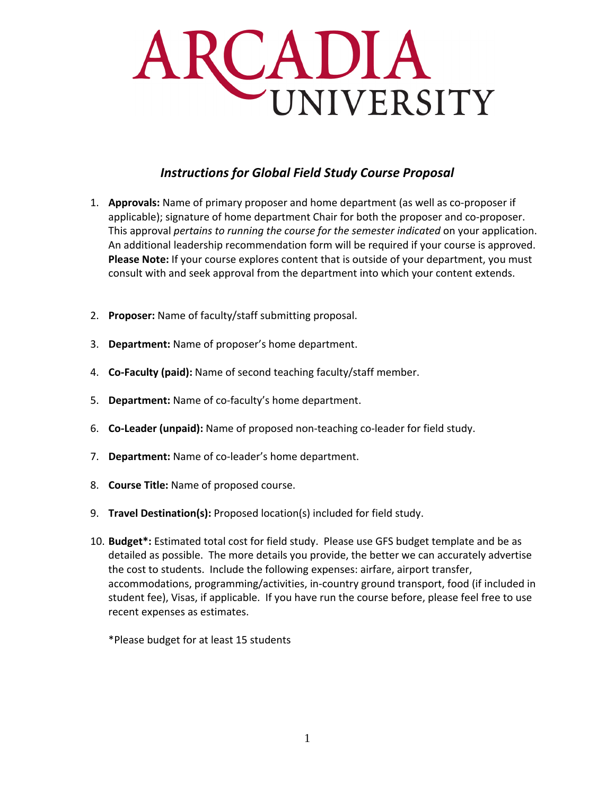## RCADIA

## *Instructions for Global Field Study Course Proposal*

- 1. **Approvals:** Name of primary proposer and home department (as well as co-proposer if applicable); signature of home department Chair for both the proposer and co-proposer. This approval *pertains to running the course for the semester indicated* on your application. An additional leadership recommendation form will be required if your course is approved. **Please Note:** If your course explores content that is outside of your department, you must consult with and seek approval from the department into which your content extends.
- 2. **Proposer:** Name of faculty/staff submitting proposal.
- 3. **Department:** Name of proposer's home department.
- 4. **Co-Faculty (paid):** Name of second teaching faculty/staff member.
- 5. **Department:** Name of co-faculty's home department.
- 6. **Co-Leader (unpaid):** Name of proposed non-teaching co-leader for field study.
- 7. **Department:** Name of co-leader's home department.
- 8. **Course Title:** Name of proposed course.
- 9. **Travel Destination(s):** Proposed location(s) included for field study.
- 10. **Budget\*:** Estimated total cost for field study. Please use GFS budget template and be as detailed as possible. The more details you provide, the better we can accurately advertise the cost to students. Include the following expenses: airfare, airport transfer, accommodations, programming/activities, in-country ground transport, food (if included in student fee), Visas, if applicable. If you have run the course before, please feel free to use recent expenses as estimates.

\*Please budget for at least 15 students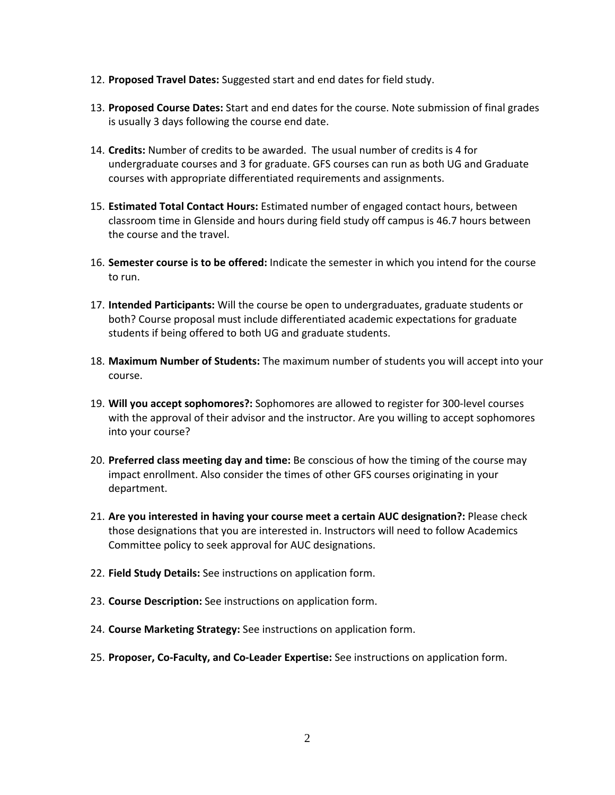- 12. **Proposed Travel Dates:** Suggested start and end dates for field study.
- 13. **Proposed Course Dates:** Start and end dates for the course. Note submission of final grades is usually 3 days following the course end date.
- 14. **Credits:** Number of credits to be awarded. The usual number of credits is 4 for undergraduate courses and 3 for graduate. GFS courses can run as both UG and Graduate courses with appropriate differentiated requirements and assignments.
- 15. **Estimated Total Contact Hours:** Estimated number of engaged contact hours, between classroom time in Glenside and hours during field study off campus is 46.7 hours between the course and the travel.
- 16. **Semester course is to be offered:** Indicate the semester in which you intend for the course to run.
- 17. **Intended Participants:** Will the course be open to undergraduates, graduate students or both? Course proposal must include differentiated academic expectations for graduate students if being offered to both UG and graduate students.
- 18. **Maximum Number of Students:** The maximum number of students you will accept into your course.
- 19. **Will you accept sophomores?:** Sophomores are allowed to register for 300-level courses with the approval of their advisor and the instructor. Are you willing to accept sophomores into your course?
- 20. **Preferred class meeting day and time:** Be conscious of how the timing of the course may impact enrollment. Also consider the times of other GFS courses originating in your department.
- 21. **Are you interested in having your course meet a certain AUC designation?:** Please check those designations that you are interested in. Instructors will need to follow Academics Committee policy to seek approval for AUC designations.
- 22. **Field Study Details:** See instructions on application form.
- 23. **Course Description:** See instructions on application form.
- 24. **Course Marketing Strategy:** See instructions on application form.
- 25. **Proposer, Co-Faculty, and Co-Leader Expertise:** See instructions on application form.